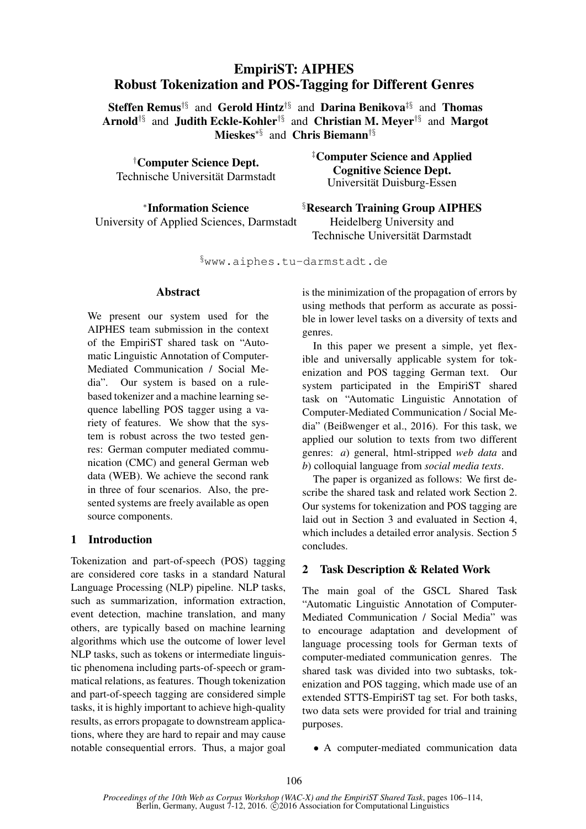# EmpiriST: AIPHES Robust Tokenization and POS-Tagging for Different Genres

Steffen Remus<sup>†§</sup> and Gerold Hintz<sup>†§</sup> and Darina Benikova<sup>‡§</sup> and Thomas Arnold†§ and Judith Eckle-Kohler†§ and Christian M. Meyer†§ and Margot Mieskes∗§ and Chris Biemann†§

†Computer Science Dept. Technische Universität Darmstadt

∗ Information Science University of Applied Sciences, Darmstadt ‡Computer Science and Applied Cognitive Science Dept. Universität Duisburg-Essen

§Research Training Group AIPHES Heidelberg University and Technische Universität Darmstadt

§www.aiphes.tu-darmstadt.de

#### Abstract

We present our system used for the AIPHES team submission in the context of the EmpiriST shared task on "Automatic Linguistic Annotation of Computer-Mediated Communication / Social Media". Our system is based on a rulebased tokenizer and a machine learning sequence labelling POS tagger using a variety of features. We show that the system is robust across the two tested genres: German computer mediated communication (CMC) and general German web data (WEB). We achieve the second rank in three of four scenarios. Also, the presented systems are freely available as open source components.

### 1 Introduction

Tokenization and part-of-speech (POS) tagging are considered core tasks in a standard Natural Language Processing (NLP) pipeline. NLP tasks, such as summarization, information extraction, event detection, machine translation, and many others, are typically based on machine learning algorithms which use the outcome of lower level NLP tasks, such as tokens or intermediate linguistic phenomena including parts-of-speech or grammatical relations, as features. Though tokenization and part-of-speech tagging are considered simple tasks, it is highly important to achieve high-quality results, as errors propagate to downstream applications, where they are hard to repair and may cause notable consequential errors. Thus, a major goal is the minimization of the propagation of errors by using methods that perform as accurate as possible in lower level tasks on a diversity of texts and genres.

In this paper we present a simple, yet flexible and universally applicable system for tokenization and POS tagging German text. Our system participated in the EmpiriST shared task on "Automatic Linguistic Annotation of Computer-Mediated Communication / Social Media" (Beißwenger et al., 2016). For this task, we applied our solution to texts from two different genres: *a*) general, html-stripped *web data* and *b*) colloquial language from *social media texts*.

The paper is organized as follows: We first describe the shared task and related work Section 2. Our systems for tokenization and POS tagging are laid out in Section 3 and evaluated in Section 4, which includes a detailed error analysis. Section 5 concludes.

### 2 Task Description & Related Work

The main goal of the GSCL Shared Task "Automatic Linguistic Annotation of Computer-Mediated Communication / Social Media" was to encourage adaptation and development of language processing tools for German texts of computer-mediated communication genres. The shared task was divided into two subtasks, tokenization and POS tagging, which made use of an extended STTS-EmpiriST tag set. For both tasks, two data sets were provided for trial and training purposes.

• A computer-mediated communication data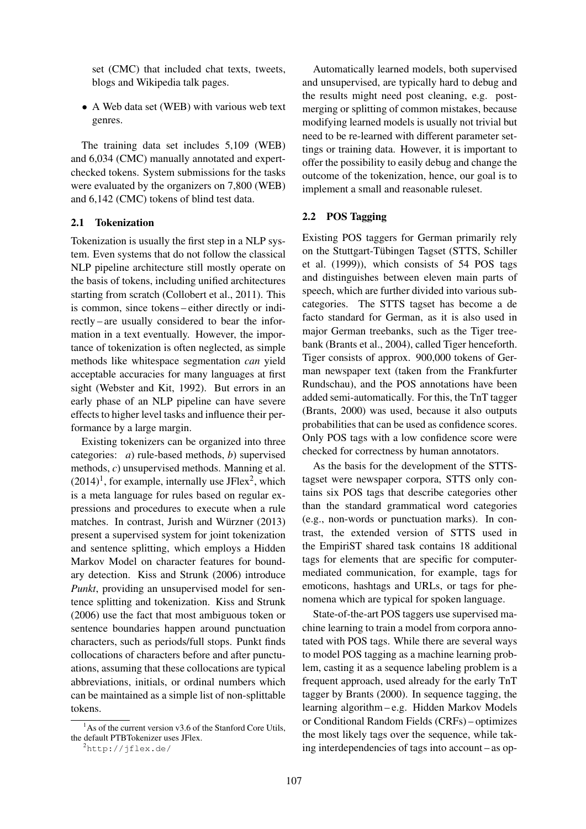set (CMC) that included chat texts, tweets, blogs and Wikipedia talk pages.

• A Web data set (WEB) with various web text genres.

The training data set includes 5,109 (WEB) and 6,034 (CMC) manually annotated and expertchecked tokens. System submissions for the tasks were evaluated by the organizers on 7,800 (WEB) and 6,142 (CMC) tokens of blind test data.

### 2.1 Tokenization

Tokenization is usually the first step in a NLP system. Even systems that do not follow the classical NLP pipeline architecture still mostly operate on the basis of tokens, including unified architectures starting from scratch (Collobert et al., 2011). This is common, since tokens – either directly or indirectly – are usually considered to bear the information in a text eventually. However, the importance of tokenization is often neglected, as simple methods like whitespace segmentation *can* yield acceptable accuracies for many languages at first sight (Webster and Kit, 1992). But errors in an early phase of an NLP pipeline can have severe effects to higher level tasks and influence their performance by a large margin.

Existing tokenizers can be organized into three categories: *a*) rule-based methods, *b*) supervised methods, *c*) unsupervised methods. Manning et al.  $(2014)^1$ , for example, internally use JFlex<sup>2</sup>, which is a meta language for rules based on regular expressions and procedures to execute when a rule matches. In contrast, Jurish and Würzner (2013) present a supervised system for joint tokenization and sentence splitting, which employs a Hidden Markov Model on character features for boundary detection. Kiss and Strunk (2006) introduce *Punkt*, providing an unsupervised model for sentence splitting and tokenization. Kiss and Strunk (2006) use the fact that most ambiguous token or sentence boundaries happen around punctuation characters, such as periods/full stops. Punkt finds collocations of characters before and after punctuations, assuming that these collocations are typical abbreviations, initials, or ordinal numbers which can be maintained as a simple list of non-splittable tokens.

Automatically learned models, both supervised and unsupervised, are typically hard to debug and the results might need post cleaning, e.g. postmerging or splitting of common mistakes, because modifying learned models is usually not trivial but need to be re-learned with different parameter settings or training data. However, it is important to offer the possibility to easily debug and change the outcome of the tokenization, hence, our goal is to implement a small and reasonable ruleset.

#### 2.2 POS Tagging

Existing POS taggers for German primarily rely on the Stuttgart-Tübingen Tagset (STTS, Schiller et al. (1999)), which consists of 54 POS tags and distinguishes between eleven main parts of speech, which are further divided into various subcategories. The STTS tagset has become a de facto standard for German, as it is also used in major German treebanks, such as the Tiger treebank (Brants et al., 2004), called Tiger henceforth. Tiger consists of approx. 900,000 tokens of German newspaper text (taken from the Frankfurter Rundschau), and the POS annotations have been added semi-automatically. For this, the TnT tagger (Brants, 2000) was used, because it also outputs probabilities that can be used as confidence scores. Only POS tags with a low confidence score were checked for correctness by human annotators.

As the basis for the development of the STTStagset were newspaper corpora, STTS only contains six POS tags that describe categories other than the standard grammatical word categories (e.g., non-words or punctuation marks). In contrast, the extended version of STTS used in the EmpiriST shared task contains 18 additional tags for elements that are specific for computermediated communication, for example, tags for emoticons, hashtags and URLs, or tags for phenomena which are typical for spoken language.

State-of-the-art POS taggers use supervised machine learning to train a model from corpora annotated with POS tags. While there are several ways to model POS tagging as a machine learning problem, casting it as a sequence labeling problem is a frequent approach, used already for the early TnT tagger by Brants (2000). In sequence tagging, the learning algorithm – e.g. Hidden Markov Models or Conditional Random Fields (CRFs) – optimizes the most likely tags over the sequence, while taking interdependencies of tags into account – as op-

 $<sup>1</sup>$ As of the current version v3.6 of the Stanford Core Utils,</sup> the default PTBTokenizer uses JFlex.

<sup>2</sup>http://jflex.de/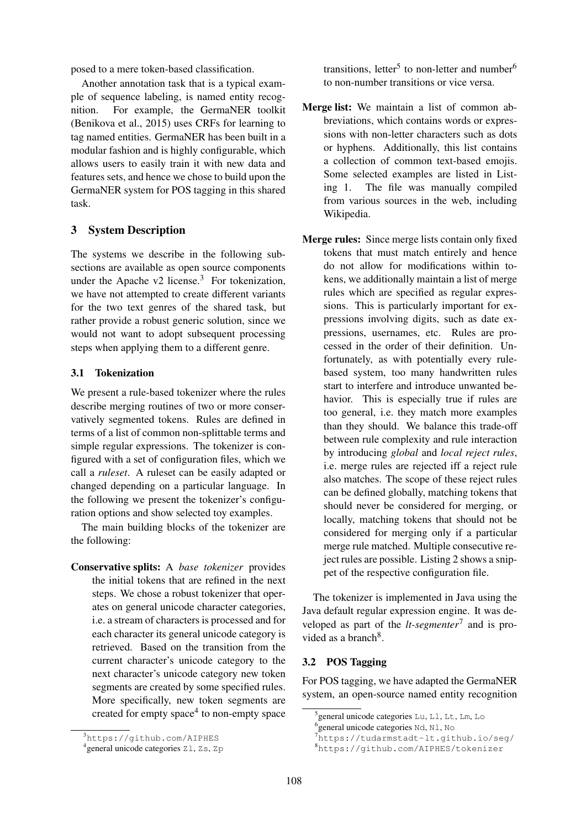posed to a mere token-based classification.

Another annotation task that is a typical example of sequence labeling, is named entity recognition. For example, the GermaNER toolkit (Benikova et al., 2015) uses CRFs for learning to tag named entities. GermaNER has been built in a modular fashion and is highly configurable, which allows users to easily train it with new data and features sets, and hence we chose to build upon the GermaNER system for POS tagging in this shared task.

# 3 System Description

The systems we describe in the following subsections are available as open source components under the Apache v2 license. $3$  For tokenization, we have not attempted to create different variants for the two text genres of the shared task, but rather provide a robust generic solution, since we would not want to adopt subsequent processing steps when applying them to a different genre.

### 3.1 Tokenization

We present a rule-based tokenizer where the rules describe merging routines of two or more conservatively segmented tokens. Rules are defined in terms of a list of common non-splittable terms and simple regular expressions. The tokenizer is configured with a set of configuration files, which we call a *ruleset*. A ruleset can be easily adapted or changed depending on a particular language. In the following we present the tokenizer's configuration options and show selected toy examples.

The main building blocks of the tokenizer are the following:

Conservative splits: A *base tokenizer* provides the initial tokens that are refined in the next steps. We chose a robust tokenizer that operates on general unicode character categories, i.e. a stream of characters is processed and for each character its general unicode category is retrieved. Based on the transition from the current character's unicode category to the next character's unicode category new token segments are created by some specified rules. More specifically, new token segments are created for empty space<sup>4</sup> to non-empty space

transitions, letter<sup>5</sup> to non-letter and number<sup>6</sup> to non-number transitions or vice versa.

- Merge list: We maintain a list of common abbreviations, which contains words or expressions with non-letter characters such as dots or hyphens. Additionally, this list contains a collection of common text-based emojis. Some selected examples are listed in Listing 1. The file was manually compiled from various sources in the web, including Wikipedia.
- Merge rules: Since merge lists contain only fixed tokens that must match entirely and hence do not allow for modifications within tokens, we additionally maintain a list of merge rules which are specified as regular expressions. This is particularly important for expressions involving digits, such as date expressions, usernames, etc. Rules are processed in the order of their definition. Unfortunately, as with potentially every rulebased system, too many handwritten rules start to interfere and introduce unwanted behavior. This is especially true if rules are too general, i.e. they match more examples than they should. We balance this trade-off between rule complexity and rule interaction by introducing *global* and *local reject rules*, i.e. merge rules are rejected iff a reject rule also matches. The scope of these reject rules can be defined globally, matching tokens that should never be considered for merging, or locally, matching tokens that should not be considered for merging only if a particular merge rule matched. Multiple consecutive reject rules are possible. Listing 2 shows a snippet of the respective configuration file.

The tokenizer is implemented in Java using the Java default regular expression engine. It was developed as part of the *lt-segmenter*<sup>7</sup> and is provided as a branch<sup>8</sup>.

### 3.2 POS Tagging

For POS tagging, we have adapted the GermaNER system, an open-source named entity recognition

<sup>3</sup>https://github.com/AIPHES

<sup>4</sup> general unicode categories Zl, Zs, Zp

<sup>5</sup> general unicode categories Lu, Ll, Lt, Lm, Lo

<sup>&</sup>lt;sup>6</sup> general unicode categories Nd, N1, No

<sup>7</sup>https://tudarmstadt-lt.github.io/seg/

<sup>8</sup>https://github.com/AIPHES/tokenizer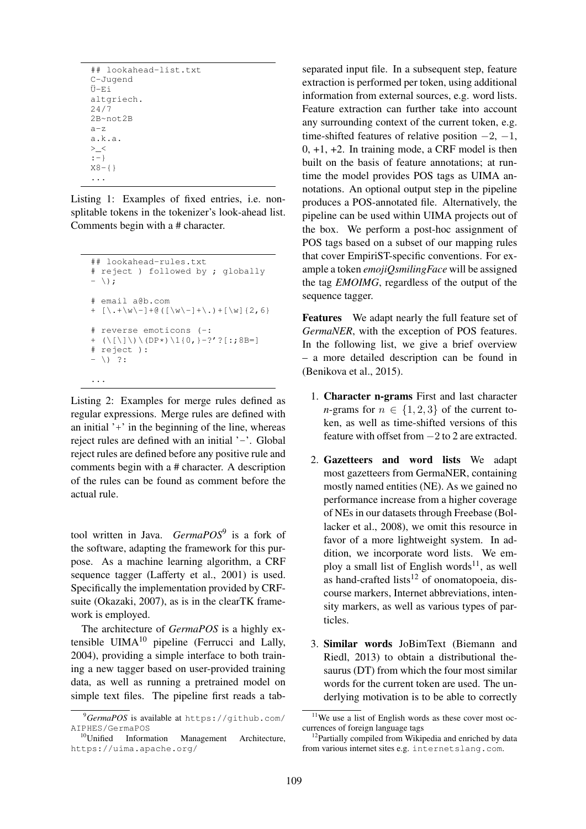```
## lookahead-list.txt
C-Jugend
Ü-Ei
altgriech.
24/7
2B~not2B
a-z
a.k.a.
>_<
:-}
X8 - \{ \}...
```
Listing 1: Examples of fixed entries, i.e. nonsplitable tokens in the tokenizer's look-ahead list. Comments begin with a # character.

```
## lookahead-rules.txt
# reject ) followed by ; globally
- \setminus;
# email a@b.com
+ [\.+\w\-]+@([\w\-]+\.)+[\w]{2,6}
# reverse emoticons (-:
+ (\langle [\ \rangle] \ \rangle \ \langle [DP*] \ \langle 1{0,}-?' ?[:,8B=]# reject ):
- \ \backslash) ?:
```
Listing 2: Examples for merge rules defined as regular expressions. Merge rules are defined with an initial  $'$ + $'$  in the beginning of the line, whereas reject rules are defined with an initial '-'. Global reject rules are defined before any positive rule and comments begin with a # character. A description of the rules can be found as comment before the actual rule.

...

tool written in Java. *GermaPOS*<sup>9</sup> is a fork of the software, adapting the framework for this purpose. As a machine learning algorithm, a CRF sequence tagger (Lafferty et al., 2001) is used. Specifically the implementation provided by CRFsuite (Okazaki, 2007), as is in the clearTK framework is employed.

The architecture of *GermaPOS* is a highly extensible  $UIMA<sup>10</sup>$  pipeline (Ferrucci and Lally, 2004), providing a simple interface to both training a new tagger based on user-provided training data, as well as running a pretrained model on simple text files. The pipeline first reads a tabseparated input file. In a subsequent step, feature extraction is performed per token, using additional information from external sources, e.g. word lists. Feature extraction can further take into account any surrounding context of the current token, e.g. time-shifted features of relative position  $-2$ ,  $-1$ ,  $0, +1, +2$ . In training mode, a CRF model is then built on the basis of feature annotations; at runtime the model provides POS tags as UIMA annotations. An optional output step in the pipeline produces a POS-annotated file. Alternatively, the pipeline can be used within UIMA projects out of the box. We perform a post-hoc assignment of POS tags based on a subset of our mapping rules that cover EmpiriST-specific conventions. For example a token *emojiQsmilingFace* will be assigned the tag *EMOIMG*, regardless of the output of the sequence tagger.

Features We adapt nearly the full feature set of *GermaNER*, with the exception of POS features. In the following list, we give a brief overview – a more detailed description can be found in (Benikova et al., 2015).

- 1. Character n-grams First and last character *n*-grams for  $n \in \{1, 2, 3\}$  of the current token, as well as time-shifted versions of this feature with offset from −2 to 2 are extracted.
- 2. Gazetteers and word lists We adapt most gazetteers from GermaNER, containing mostly named entities (NE). As we gained no performance increase from a higher coverage of NEs in our datasets through Freebase (Bollacker et al., 2008), we omit this resource in favor of a more lightweight system. In addition, we incorporate word lists. We employ a small list of English words<sup>11</sup>, as well as hand-crafted lists<sup>12</sup> of onomatopoeia, discourse markers, Internet abbreviations, intensity markers, as well as various types of particles.
- 3. Similar words JoBimText (Biemann and Riedl, 2013) to obtain a distributional thesaurus (DT) from which the four most similar words for the current token are used. The underlying motivation is to be able to correctly

<sup>9</sup>*GermaPOS* is available at https://github.com/ AIPHES/GermaPOS

<sup>10</sup>Unified Information Management Architecture, https://uima.apache.org/

<sup>&</sup>lt;sup>11</sup>We use a list of English words as these cover most occurrences of foreign language tags

<sup>&</sup>lt;sup>12</sup>Partially compiled from Wikipedia and enriched by data from various internet sites e.g. internetslang.com.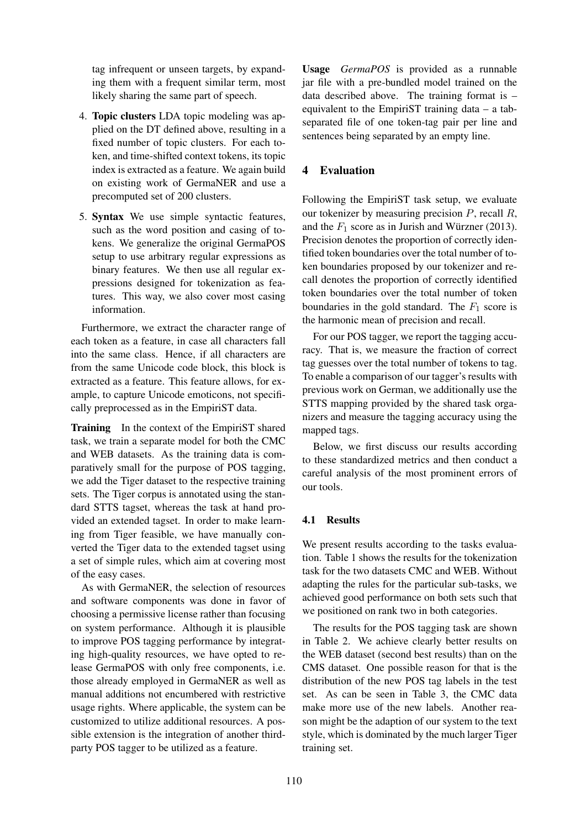tag infrequent or unseen targets, by expanding them with a frequent similar term, most likely sharing the same part of speech.

- 4. Topic clusters LDA topic modeling was applied on the DT defined above, resulting in a fixed number of topic clusters. For each token, and time-shifted context tokens, its topic index is extracted as a feature. We again build on existing work of GermaNER and use a precomputed set of 200 clusters.
- 5. Syntax We use simple syntactic features, such as the word position and casing of tokens. We generalize the original GermaPOS setup to use arbitrary regular expressions as binary features. We then use all regular expressions designed for tokenization as features. This way, we also cover most casing information.

Furthermore, we extract the character range of each token as a feature, in case all characters fall into the same class. Hence, if all characters are from the same Unicode code block, this block is extracted as a feature. This feature allows, for example, to capture Unicode emoticons, not specifically preprocessed as in the EmpiriST data.

Training In the context of the EmpiriST shared task, we train a separate model for both the CMC and WEB datasets. As the training data is comparatively small for the purpose of POS tagging, we add the Tiger dataset to the respective training sets. The Tiger corpus is annotated using the standard STTS tagset, whereas the task at hand provided an extended tagset. In order to make learning from Tiger feasible, we have manually converted the Tiger data to the extended tagset using a set of simple rules, which aim at covering most of the easy cases.

As with GermaNER, the selection of resources and software components was done in favor of choosing a permissive license rather than focusing on system performance. Although it is plausible to improve POS tagging performance by integrating high-quality resources, we have opted to release GermaPOS with only free components, i.e. those already employed in GermaNER as well as manual additions not encumbered with restrictive usage rights. Where applicable, the system can be customized to utilize additional resources. A possible extension is the integration of another thirdparty POS tagger to be utilized as a feature.

Usage *GermaPOS* is provided as a runnable jar file with a pre-bundled model trained on the data described above. The training format is – equivalent to the EmpiriST training data – a tabseparated file of one token-tag pair per line and sentences being separated by an empty line.

# 4 Evaluation

Following the EmpiriST task setup, we evaluate our tokenizer by measuring precision  $P$ , recall  $R$ , and the  $F_1$  score as in Jurish and Würzner (2013). Precision denotes the proportion of correctly identified token boundaries over the total number of token boundaries proposed by our tokenizer and recall denotes the proportion of correctly identified token boundaries over the total number of token boundaries in the gold standard. The  $F_1$  score is the harmonic mean of precision and recall.

For our POS tagger, we report the tagging accuracy. That is, we measure the fraction of correct tag guesses over the total number of tokens to tag. To enable a comparison of our tagger's results with previous work on German, we additionally use the STTS mapping provided by the shared task organizers and measure the tagging accuracy using the mapped tags.

Below, we first discuss our results according to these standardized metrics and then conduct a careful analysis of the most prominent errors of our tools.

# 4.1 Results

We present results according to the tasks evaluation. Table 1 shows the results for the tokenization task for the two datasets CMC and WEB. Without adapting the rules for the particular sub-tasks, we achieved good performance on both sets such that we positioned on rank two in both categories.

The results for the POS tagging task are shown in Table 2. We achieve clearly better results on the WEB dataset (second best results) than on the CMS dataset. One possible reason for that is the distribution of the new POS tag labels in the test set. As can be seen in Table 3, the CMC data make more use of the new labels. Another reason might be the adaption of our system to the text style, which is dominated by the much larger Tiger training set.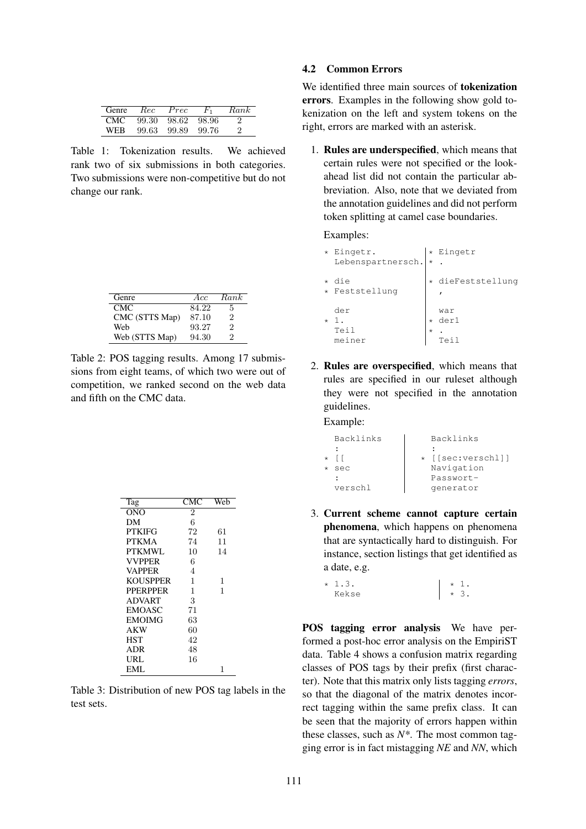| Genre      | Rec   | Prec  | F,    | Rank |
|------------|-------|-------|-------|------|
| <b>CMC</b> | 99.30 | 98.62 | 98.96 | '2   |
| WFR        | 99.63 | 99.89 | 99.76 | 2    |

Table 1: Tokenization results. We achieved rank two of six submissions in both categories. Two submissions were non-competitive but do not change our rank.

| Genre          | Acc   | Rank |
|----------------|-------|------|
| CMC.           | 84.22 | 5    |
| CMC (STTS Map) | 87.10 | 2    |
| Web            | 93.27 | 2    |
| Web (STTS Map) | 94.30 | 2    |

Table 2: POS tagging results. Among 17 submissions from eight teams, of which two were out of competition, we ranked second on the web data and fifth on the CMC data.

| Tag             | CMC            | Web |
|-----------------|----------------|-----|
| ONO             | $\overline{2}$ |     |
| DМ              | 6              |     |
| <b>PTKIFG</b>   | 72             | 61  |
| <b>PTKMA</b>    | 74             | 11  |
| PTKMWL          | 10             | 14  |
| <b>VVPPER</b>   | 6              |     |
| <b>VAPPER</b>   | 4              |     |
| <b>KOUSPPER</b> | 1              | 1   |
| <b>PPERPPER</b> | 1              | 1   |
| <b>ADVART</b>   | 3              |     |
| <b>EMOASC</b>   | 71             |     |
| <b>EMOIMG</b>   | 63             |     |
| <b>AKW</b>      | 60             |     |
| <b>HST</b>      | 42             |     |
| ADR             | 48             |     |
| URL             | 16             |     |
| EML             |                | 1   |

Table 3: Distribution of new POS tag labels in the test sets.

### 4.2 Common Errors

We identified three main sources of tokenization errors. Examples in the following show gold tokenization on the left and system tokens on the right, errors are marked with an asterisk.

1. Rules are underspecified, which means that certain rules were not specified or the lookahead list did not contain the particular abbreviation. Also, note that we deviated from the annotation guidelines and did not perform token splitting at camel case boundaries.

Examples:

| $\star$ | Eingetr.              |         | * Eingetr               |
|---------|-----------------------|---------|-------------------------|
|         | Lebenspartnersch. *   |         |                         |
| $\star$ | die<br>* Feststellung |         | * dieFeststellung       |
| $\star$ | der<br>Teil<br>meiner | $\star$ | war<br>der1<br>$T \cap$ |

2. Rules are overspecified, which means that rules are specified in our ruleset although they were not specified in the annotation guidelines.

Example:

|         | Backlinks | Backlinks         |
|---------|-----------|-------------------|
|         |           |                   |
| $\star$ |           | * [[sec:verschl]] |
|         | sec       | Navigation        |
|         |           | Passwort-         |
|         | verschl   | qenerator         |

3. Current scheme cannot capture certain phenomena, which happens on phenomena that are syntactically hard to distinguish. For instance, section listings that get identified as a date, e.g.

 $* 1.3.$ Kekse \* 1. \* 3.

POS tagging error analysis We have performed a post-hoc error analysis on the EmpiriST data. Table 4 shows a confusion matrix regarding classes of POS tags by their prefix (first character). Note that this matrix only lists tagging *errors*, so that the diagonal of the matrix denotes incorrect tagging within the same prefix class. It can be seen that the majority of errors happen within these classes, such as *N\**. The most common tagging error is in fact mistagging *NE* and *NN*, which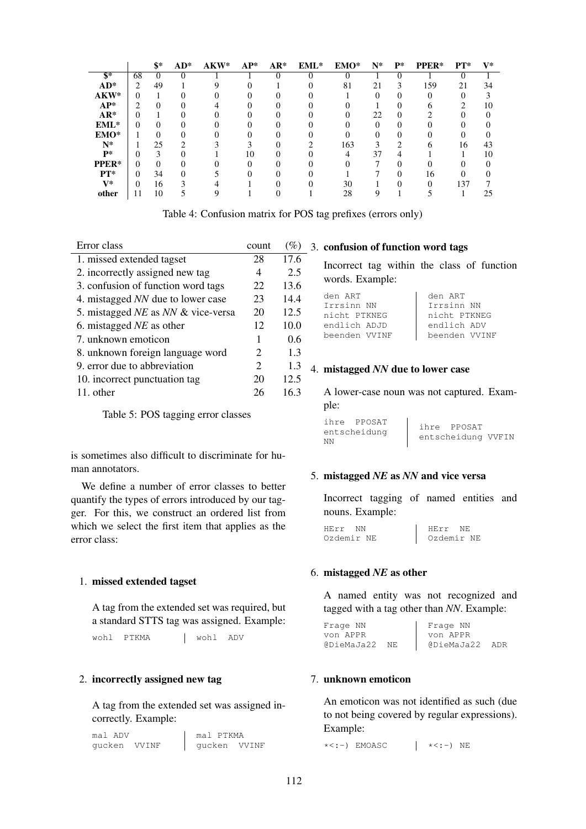|                |    | \$*      | $AD^*$ | AKW* | $AP^*$ | $AR^*$ | $EML^*$ | EMO* | $N^*$ | $P^*$             | PPER*             | $PT^*$ | $V^*$ |
|----------------|----|----------|--------|------|--------|--------|---------|------|-------|-------------------|-------------------|--------|-------|
| $\mathbf{s}^*$ | 68 |          |        |      |        |        |         |      |       |                   |                   |        |       |
| $AD^*$         | ∍  | 49       |        |      |        |        |         | 81   | 21    | 3                 | 159               | 21     | 34    |
| AKW*           | 0  |          | 0      |      |        |        |         |      |       | $\theta$          | $\mathbf{\Omega}$ |        |       |
| $AP^*$         |    |          |        |      |        |        |         |      |       |                   |                   |        | 10    |
| $AR*$          |    |          |        |      |        |        |         |      | 22    |                   |                   |        |       |
| $EML^*$        | 0  | $\theta$ | 0      |      |        |        |         |      |       | $\theta$          |                   |        |       |
| EMO*           |    |          |        |      |        |        |         |      |       |                   |                   |        |       |
| $N^*$          |    | 25       |        |      |        |        |         | 163  |       |                   |                   | 16     | 43    |
| $P*$           |    | 3        |        |      | 10     |        |         |      | 37    |                   |                   |        | 10    |
| PPER*          | 0  | 0        |        |      |        |        |         |      |       |                   |                   |        |       |
| $PT^*$         | 0  | 34       | 0      |      |        |        |         |      |       | $\mathbf{\Omega}$ | 16                |        |       |
| $V^*$          | 0  | 16       |        |      |        |        |         | 30   |       |                   |                   | 137    |       |
| other          |    | 10       |        |      |        |        |         | 28   |       |                   |                   |        | 25    |

Table 4: Confusion matrix for POS tag prefixes (errors only)

| Error class                        | count | $(\%)$ |
|------------------------------------|-------|--------|
| 1. missed extended tagset          | 28    | 17.6   |
| 2. incorrectly assigned new tag    | 4     | 2.5    |
| 3. confusion of function word tags | 22    | 13.6   |
| 4. mistagged NN due to lower case  | 23    | 14.4   |
| 5. mistagged NE as NN & vice-versa | 20    | 12.5   |
| 6. mistagged $NE$ as other         | 12    | 10.0   |
| 7. unknown emoticon                | 1     | 0.6    |
| 8. unknown foreign language word   | 2     | 1.3    |
| 9. error due to abbreviation       | 2     | 1.3    |
| 10. incorrect punctuation tag      | 20    | 12.5   |
| 11. other                          | 26    | 16.3   |
|                                    |       |        |

Table 5: POS tagging error classes

is sometimes also difficult to discriminate for human annotators.

We define a number of error classes to better quantify the types of errors introduced by our tagger. For this, we construct an ordered list from which we select the first item that applies as the error class:

# 1. missed extended tagset

A tag from the extended set was required, but a standard STTS tag was assigned. Example:

wohl PTKMA | wohl ADV

# 2. incorrectly assigned new tag

A tag from the extended set was assigned incorrectly. Example:

mal ADV gucken VVINF mal PTKMA gucken VVINF 3. confusion of function word tags

Incorrect tag within the class of function words. Example:

| den ART       | den ART       |
|---------------|---------------|
| Irrsinn NN    | Trrsinn NN    |
| nicht PTKNEG  | nicht PTKNEG  |
| endlich ADJD  | endlich ADV   |
| beenden VVINF | beenden VVINF |

#### 4. mistagged *NN* due to lower case

A lower-case noun was not captured. Example:

|    | ihre PPOSAT  | ihre PPOSAT        |  |
|----|--------------|--------------------|--|
|    | entscheidung | entscheidung VVFIN |  |
| ΝN |              |                    |  |

### 5. mistagged *NE* as *NN* and vice versa

Incorrect tagging of named entities and nouns. Example:

| HErr.      | HErr NE    |  |
|------------|------------|--|
| Ozdemir NE | Ozdemir NE |  |

#### 6. mistagged *NE* as other

A named entity was not recognized and tagged with a tag other than *NN*. Example:

| Frage NN   |     | Frage NN   |     |
|------------|-----|------------|-----|
| von APPR   |     | von APPR   |     |
| @DieMaJa22 | NF. | @DieMaJa22 | ADR |

#### 7. unknown emoticon

An emoticon was not identified as such (due to not being covered by regular expressions). Example:

 $\star$ <:-) EMOASC  $\qquad$   $\mid$   $\star$ <:-) NE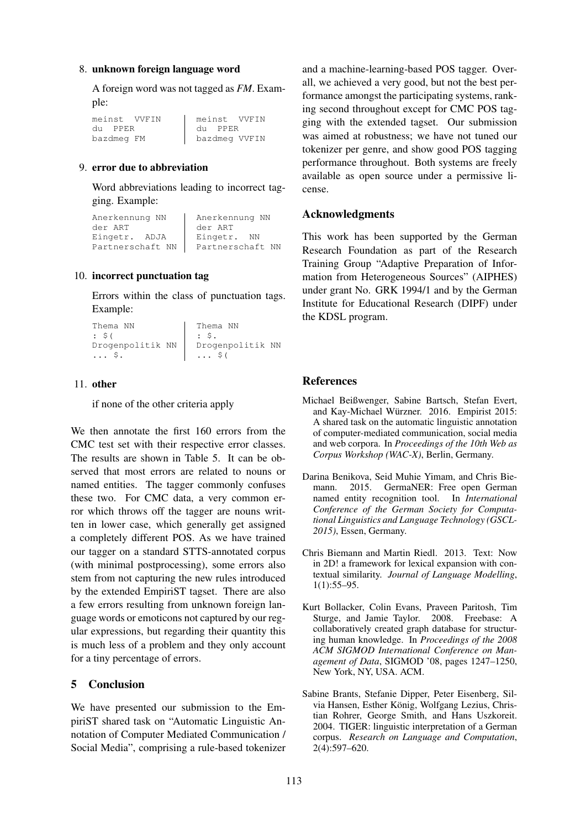#### 8. unknown foreign language word

A foreign word was not tagged as *FM*. Example:

meinst VVFIN du PPER bazdmeg FM meinst VVFIN du PPER bazdmeg VVFIN

# 9. error due to abbreviation

Word abbreviations leading to incorrect tagging. Example:

| Anerkennung NN   | Anerkennung NN   |
|------------------|------------------|
| der ART          | der ART          |
| Eingetr. ADJA    | Eingetr. NN      |
| Partnerschaft NN | Partnerschaft NN |

### 10. incorrect punctuation tag

Errors within the class of punctuation tags. Example:

```
Thema NN
: $(
Drogenpolitik NN
... $.
                     Thema NN
                     \cdot $.
                     Drogenpolitik NN
                     \ldots $(
```
#### 11. other

if none of the other criteria apply

We then annotate the first 160 errors from the CMC test set with their respective error classes. The results are shown in Table 5. It can be observed that most errors are related to nouns or named entities. The tagger commonly confuses these two. For CMC data, a very common error which throws off the tagger are nouns written in lower case, which generally get assigned a completely different POS. As we have trained our tagger on a standard STTS-annotated corpus (with minimal postprocessing), some errors also stem from not capturing the new rules introduced by the extended EmpiriST tagset. There are also a few errors resulting from unknown foreign language words or emoticons not captured by our regular expressions, but regarding their quantity this is much less of a problem and they only account for a tiny percentage of errors.

# 5 Conclusion

We have presented our submission to the EmpiriST shared task on "Automatic Linguistic Annotation of Computer Mediated Communication / Social Media", comprising a rule-based tokenizer

and a machine-learning-based POS tagger. Overall, we achieved a very good, but not the best performance amongst the participating systems, ranking second throughout except for CMC POS tagging with the extended tagset. Our submission was aimed at robustness; we have not tuned our tokenizer per genre, and show good POS tagging performance throughout. Both systems are freely available as open source under a permissive license.

# Acknowledgments

This work has been supported by the German Research Foundation as part of the Research Training Group "Adaptive Preparation of Information from Heterogeneous Sources" (AIPHES) under grant No. GRK 1994/1 and by the German Institute for Educational Research (DIPF) under the KDSL program.

# References

- Michael Beißwenger, Sabine Bartsch, Stefan Evert, and Kay-Michael Würzner. 2016. Empirist 2015: A shared task on the automatic linguistic annotation of computer-mediated communication, social media and web corpora. In *Proceedings of the 10th Web as Corpus Workshop (WAC-X)*, Berlin, Germany.
- Darina Benikova, Seid Muhie Yimam, and Chris Biemann. 2015. GermaNER: Free open German named entity recognition tool. In *International Conference of the German Society for Computational Linguistics and Language Technology (GSCL-2015)*, Essen, Germany.
- Chris Biemann and Martin Riedl. 2013. Text: Now in 2D! a framework for lexical expansion with contextual similarity. *Journal of Language Modelling*, 1(1):55–95.
- Kurt Bollacker, Colin Evans, Praveen Paritosh, Tim Sturge, and Jamie Taylor. 2008. Freebase: A collaboratively created graph database for structuring human knowledge. In *Proceedings of the 2008 ACM SIGMOD International Conference on Management of Data*, SIGMOD '08, pages 1247–1250, New York, NY, USA. ACM.
- Sabine Brants, Stefanie Dipper, Peter Eisenberg, Silvia Hansen, Esther König, Wolfgang Lezius, Christian Rohrer, George Smith, and Hans Uszkoreit. 2004. TIGER: linguistic interpretation of a German corpus. *Research on Language and Computation*, 2(4):597–620.